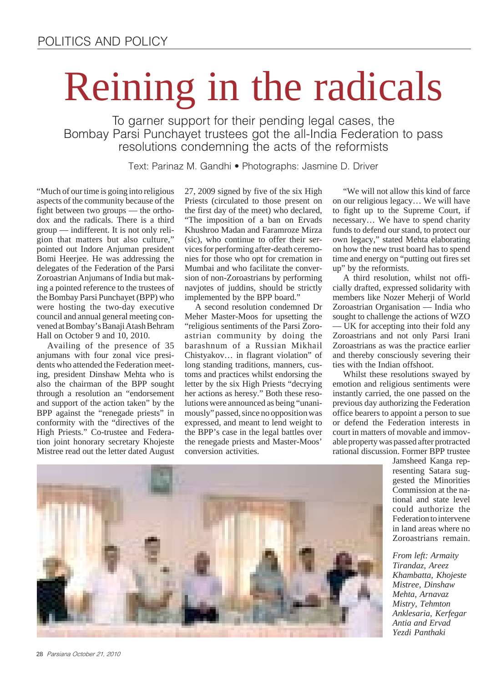## Reining in the radicals

To garner support for their pending legal cases, the Bombay Parsi Punchayet trustees got the all-India Federation to pass resolutions condemning the acts of the reformists

Text: Parinaz M. Gandhi • Photographs: Jasmine D. Driver

"Much of our time is going into religious aspects of the community because of the fight between two groups — the orthodox and the radicals. There is a third group — indifferent. It is not only religion that matters but also culture," pointed out Indore Anjuman president Bomi Heerjee. He was addressing the delegates of the Federation of the Parsi Zoroastrian Anjumans of India but making a pointed reference to the trustees of the Bombay Parsi Punchayet (BPP) who were hosting the two-day executive council and annual general meeting convened at Bombay's Banaji Atash Behram Hall on October 9 and 10, 2010.

Availing of the presence of 35 anjumans with four zonal vice presidents who attended the Federation meeting, president Dinshaw Mehta who is also the chairman of the BPP sought through a resolution an "endorsement and support of the action taken" by the BPP against the "renegade priests" in conformity with the "directives of the High Priests." Co-trustee and Federation joint honorary secretary Khojeste Mistree read out the letter dated August 27, 2009 signed by five of the six High Priests (circulated to those present on the first day of the meet) who declared, "The imposition of a ban on Ervads Khushroo Madan and Faramroze Mirza (sic), who continue to offer their services for performing after-death ceremonies for those who opt for cremation in Mumbai and who facilitate the conversion of non-Zoroastrians by performing navjotes of juddins, should be strictly implemented by the BPP board."

A second resolution condemned Dr Meher Master-Moos for upsetting the "religious sentiments of the Parsi Zoroastrian community by doing the barashnum of a Russian Mikhail Chistyakov… in flagrant violation" of long standing traditions, manners, customs and practices whilst endorsing the letter by the six High Priests "decrying her actions as heresy." Both these resolutions were announced as being "unanimously" passed, since no opposition was expressed, and meant to lend weight to the BPP's case in the legal battles over the renegade priests and Master-Moos' conversion activities.

"We will not allow this kind of farce on our religious legacy… We will have to fight up to the Supreme Court, if necessary… We have to spend charity funds to defend our stand, to protect our own legacy," stated Mehta elaborating on how the new trust board has to spend time and energy on "putting out fires set up" by the reformists.

A third resolution, whilst not officially drafted, expressed solidarity with members like Nozer Meherji of World Zoroastrian Organisation — India who sought to challenge the actions of WZO — UK for accepting into their fold any Zoroastrians and not only Parsi Irani Zoroastrians as was the practice earlier and thereby consciously severing their ties with the Indian offshoot.

Whilst these resolutions swayed by emotion and religious sentiments were instantly carried, the one passed on the previous day authorizing the Federation office bearers to appoint a person to sue or defend the Federation interests in court in matters of movable and immovable property was passed after protracted rational discussion. Former BPP trustee

Jamsheed Kanga representing Satara suggested the Minorities Commission at the national and state level could authorize the Federation to intervene in land areas where no Zoroastrians remain.

*From left: Armaity Tirandaz, Areez Khambatta, Khojeste Mistree, Dinshaw Mehta, Arnavaz Mistry, Tehmton Anklesaria, Kerfegar Antia and Ervad Yezdi Panthaki*

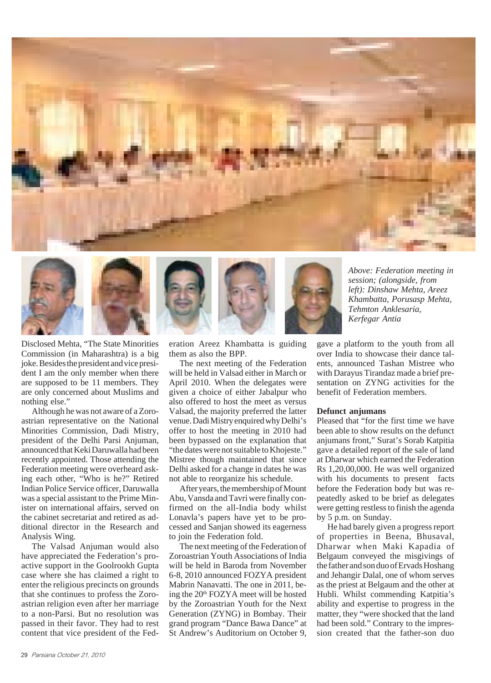



Disclosed Mehta, "The State Minorities Commission (in Maharashtra) is a big joke. Besides the president and vice president I am the only member when there are supposed to be 11 members. They are only concerned about Muslims and nothing else."

Although he was not aware of a Zoroastrian representative on the National Minorities Commission, Dadi Mistry, president of the Delhi Parsi Anjuman, announced that Keki Daruwalla had been recently appointed. Those attending the Federation meeting were overheard asking each other, "Who is he?" Retired Indian Police Service officer, Daruwalla was a special assistant to the Prime Minister on international affairs, served on the cabinet secretariat and retired as additional director in the Research and Analysis Wing.

The Valsad Anjuman would also have appreciated the Federation's proactive support in the Goolrookh Gupta case where she has claimed a right to enter the religious precincts on grounds that she continues to profess the Zoroastrian religion even after her marriage to a non-Parsi. But no resolution was passed in their favor. They had to rest content that vice president of the Federation Areez Khambatta is guiding them as also the BPP.

The next meeting of the Federation will be held in Valsad either in March or April 2010. When the delegates were given a choice of either Jabalpur who also offered to host the meet as versus Valsad, the majority preferred the latter venue. Dadi Mistry enquired why Delhi's offer to host the meeting in 2010 had been bypassed on the explanation that "the dates were not suitable to Khojeste." Mistree though maintained that since Delhi asked for a change in dates he was not able to reorganize his schedule.

After years, the membership of Mount Abu, Vansda and Tavri were finally confirmed on the all-India body whilst Lonavla's papers have yet to be processed and Sanjan showed its eagerness to join the Federation fold.

The next meeting of the Federation of Zoroastrian Youth Associations of India will be held in Baroda from November 6-8, 2010 announced FOZYA president Mabrin Nanavatti. The one in 2011, being the 20<sup>th</sup> FOZYA meet will be hosted by the Zoroastrian Youth for the Next Generation (ZYNG) in Bombay. Their grand program "Dance Bawa Dance" at St Andrew's Auditorium on October 9,

*Above: Federation meeting in session; (alongside, from left): Dinshaw Mehta, Areez Khambatta, Porusasp Mehta, Tehmton Anklesaria, Kerfegar Antia*

gave a platform to the youth from all over India to showcase their dance talents, announced Tashan Mistree who with Darayus Tirandaz made a brief presentation on ZYNG activities for the benefit of Federation members.

## **Defunct anjumans**

Pleased that "for the first time we have been able to show results on the defunct anjumans front," Surat's Sorab Katpitia gave a detailed report of the sale of land at Dharwar which earned the Federation Rs 1,20,00,000. He was well organized with his documents to present facts before the Federation body but was repeatedly asked to be brief as delegates were getting restless to finish the agenda by 5 p.m. on Sunday.

He had barely given a progress report of properties in Beena, Bhusaval, Dharwar when Maki Kapadia of Belgaum conveyed the misgivings of the father and son duo of Ervads Hoshang and Jehangir Dalal, one of whom serves as the priest at Belgaum and the other at Hubli. Whilst commending Katpitia's ability and expertise to progress in the matter, they "were shocked that the land had been sold." Contrary to the impression created that the father-son duo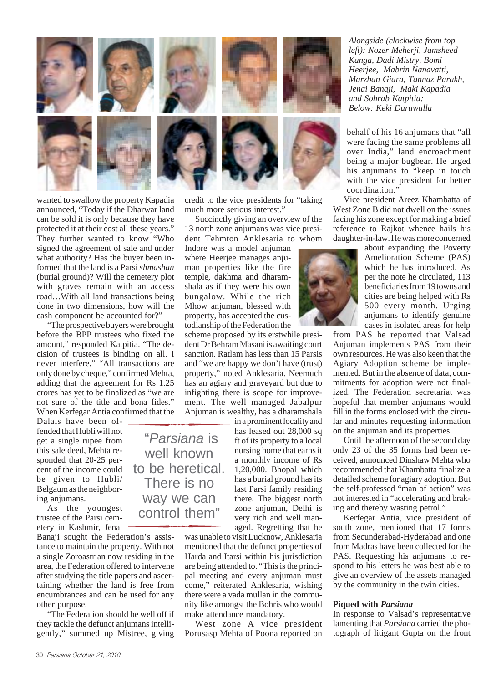

wanted to swallow the property Kapadia announced, "Today if the Dharwar land can be sold it is only because they have protected it at their cost all these years." They further wanted to know "Who signed the agreement of sale and under what authority? Has the buyer been informed that the land is a Parsi *shmashan* (burial ground)? Will the cemetery plot with graves remain with an access road…With all land transactions being done in two dimensions, how will the cash component be accounted for?"

"The prospective buyers were brought before the BPP trustees who fixed the amount," responded Katpitia. "The decision of trustees is binding on all. I never interfere." "All transactions are only done by cheque," confirmed Mehta, adding that the agreement for Rs 1.25 crores has yet to be finalized as "we are not sure of the title and bona fides." When Kerfegar Antia confirmed that the

Dalals have been offended that Hubli will not get a single rupee from this sale deed, Mehta responded that 20-25 percent of the income could be given to Hubli/ Belgaum as the neighboring anjumans.

As the youngest trustee of the Parsi cemetery in Kashmir, Jenai

Banaji sought the Federation's assistance to maintain the property. With not a single Zoroastrian now residing in the area, the Federation offered to intervene after studying the title papers and ascertaining whether the land is free from encumbrances and can be used for any other purpose.

"The Federation should be well off if they tackle the defunct anjumans intelligently," summed up Mistree, giving credit to the vice presidents for "taking much more serious interest."

Succinctly giving an overview of the 13 north zone anjumans was vice president Tehmton Anklesaria to whom

Indore was a model anjuman where Heerjee manages anjuman properties like the fire temple, dakhma and dharamshala as if they were his own bungalow. While the rich Mhow anjuman, blessed with property, has accepted the custodianship of the Federation the

scheme proposed by its erstwhile president Dr Behram Masani is awaiting court sanction. Ratlam has less than 15 Parsis and "we are happy we don't have (trust) property," noted Anklesaria. Neemuch has an agiary and graveyard but due to infighting there is scope for improvement. The well managed Jabalpur Anjuman is wealthy, has a dharamshala

in a prominent locality and has leased out 28,000 sq ft of its property to a local nursing home that earns it a monthly income of Rs 1,20,000. Bhopal which has a burial ground has its last Parsi family residing there. The biggest north zone anjuman, Delhi is very rich and well managed. Regretting that he

was unable to visit Lucknow, Anklesaria mentioned that the defunct properties of Harda and Itarsi within his jurisdiction are being attended to. "This is the principal meeting and every anjuman must come," reiterated Anklesaria, wishing there were a vada mullan in the community like amongst the Bohris who would make attendance mandatory.

West zone A vice president Porusasp Mehta of Poona reported on

*Alongside (clockwise from top left): Nozer Meherji, Jamsheed Kanga, Dadi Mistry, Bomi Heerjee, Mabrin Nanavatti, Marzban Giara, Tannaz Parakh, Jenai Banaji, Maki Kapadia and Sohrab Katpitia; Below: Keki Daruwalla*

behalf of his 16 anjumans that "all were facing the same problems all over India," land encroachment being a major bugbear. He urged his anjumans to "keep in touch with the vice president for better coordination."

Vice president Areez Khambatta of West Zone B did not dwell on the issues facing his zone except for making a brief reference to Rajkot whence hails his daughter-in-law. He was more concerned

about expanding the Poverty Amelioration Scheme (PAS) which he has introduced. As per the note he circulated, 113 beneficiaries from 19 towns and cities are being helped with Rs 500 every month. Urging anjumans to identify genuine cases in isolated areas for help

from PAS he reported that Valsad Anjuman implements PAS from their own resources. He was also keen that the Agiary Adoption scheme be implemented. But in the absence of data, commitments for adoption were not finalized. The Federation secretariat was hopeful that member anjumans would fill in the forms enclosed with the circular and minutes requesting information on the anjuman and its properties.

Until the afternoon of the second day only 23 of the 35 forms had been received, announced Dinshaw Mehta who recommended that Khambatta finalize a detailed scheme for agiary adoption. But the self-professed "man of action" was not interested in "accelerating and braking and thereby wasting petrol."

Kerfegar Antia, vice president of south zone, mentioned that 17 forms from Secunderabad-Hyderabad and one from Madras have been collected for the PAS. Requesting his anjumans to respond to his letters he was best able to give an overview of the assets managed by the community in the twin cities.

## **Piqued with** *Parsiana*

In response to Valsad's representative lamenting that *Parsiana* carried the photograph of litigant Gupta on the front

"*Parsiana* is well known to be heretical. There is no way we can control them"

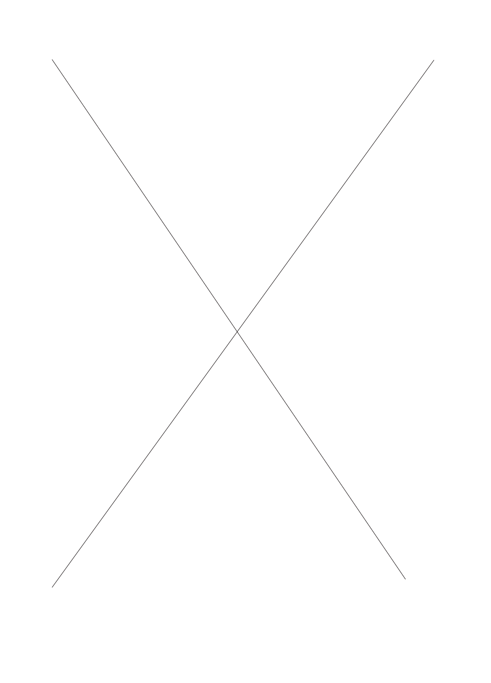